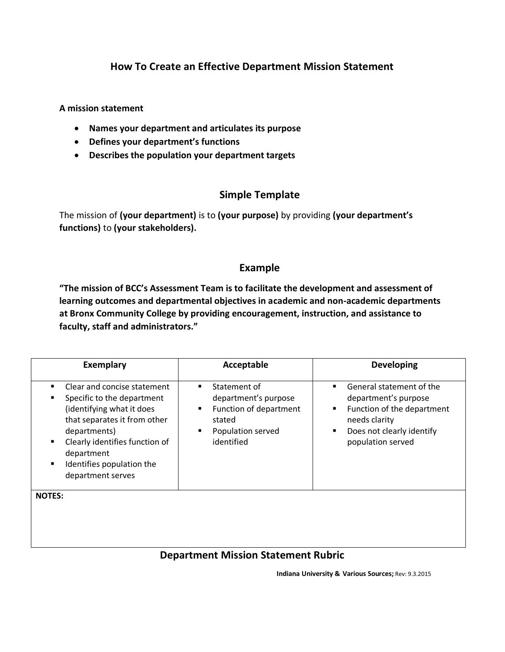# **How To Create an Effective Department Mission Statement**

**A mission statement** 

- **Names your department and articulates its purpose**
- **Defines your department's functions**
- **Describes the population your department targets**

## **Simple Template**

The mission of **(your department)** is to **(your purpose)** by providing **(your department's functions)** to **(your stakeholders).**

### **Example**

**"The mission of BCC's Assessment Team is to facilitate the development and assessment of learning outcomes and departmental objectives in academic and non-academic departments at Bronx Community College by providing encouragement, instruction, and assistance to faculty, staff and administrators."**

| <b>Exemplary</b>                                                                                                                                                                                                                                                                  | Acceptable                                                                                                            | <b>Developing</b>                                                                                                                                           |
|-----------------------------------------------------------------------------------------------------------------------------------------------------------------------------------------------------------------------------------------------------------------------------------|-----------------------------------------------------------------------------------------------------------------------|-------------------------------------------------------------------------------------------------------------------------------------------------------------|
| Clear and concise statement<br>$\blacksquare$<br>Specific to the department<br>$\blacksquare$<br>(identifying what it does<br>that separates it from other<br>departments)<br>Clearly identifies function of<br>department<br>Identifies population the<br>٠<br>department serves | Statement of<br>٠<br>department's purpose<br>Function of department<br>٠<br>stated<br>Population served<br>identified | General statement of the<br>٠<br>department's purpose<br>Function of the department<br>needs clarity<br>Does not clearly identify<br>п<br>population served |
| <b>NOTES:</b>                                                                                                                                                                                                                                                                     |                                                                                                                       |                                                                                                                                                             |

## **Department Mission Statement Rubric**

 **Indiana University & Various Sources;** Rev: 9.3.2015